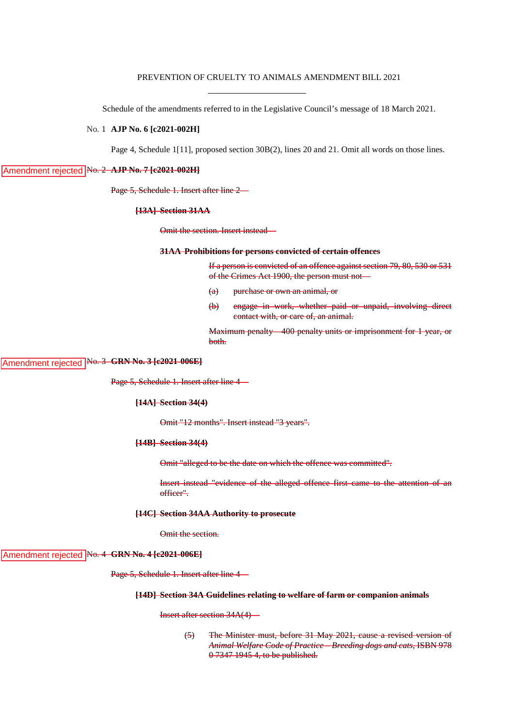# PREVENTION OF CRUELTY TO ANIMALS AMENDMENT BILL 2021

Schedule of the amendments referred to in the Legislative Council's message of 18 March 2021.

## No. 1 **AJP No. 6 [c2021-002H]**

Page 4, Schedule 1[11], proposed section 30B(2), lines 20 and 21. Omit all words on those lines.

# Amendment rejected No. 2 AJP No. 7 [c2021-002H]

Page 5, Schedule 1. Insert after line 2—

#### **[13A] Section 31AA**

Omit the section. Insert instead—

#### **31AA Prohibitions for persons convicted of certain offences**

If a person is convicted of an offence against section 79, 80, 530 or 531 of the Crimes Act 1900, the person must not—

- (a) purchase or own an animal, or
- (b) engage in work, whether paid or unpaid, involving direct contact with, or care of, an animal.

Maximum penalty—400 penalty units or imprisonment for 1 year, or both.

# Amendment rejected No. 3 GRN No. 3 [c2021-006E]

Page 5, Schedule 1. Insert after line 4—

## **[14A] Section 34(4)**

Omit "12 months". Insert instead "3 years".

#### **[14B] Section 34(4)**

Omit "alleged to be the date on which the offence was committed".

Insert instead "evidence of the alleged offence first came to the attention of an officer".

# **[14C] Section 34AA Authority to prosecute**

Omit the section.

# Amendment rejected No. 4 GRN No. 4 [c2021-006E]

Page 5, Schedule 1. Insert after line 4—

### **[14D] Section 34A Guidelines relating to welfare of farm or companion animals**

Insert after section 34A(4)—

(5) The Minister must, before 31 May 2021, cause a revised version of *Animal Welfare Code of Practice – Breeding dogs and cats*, ISBN 978 0 7347 1945 4, to be published.